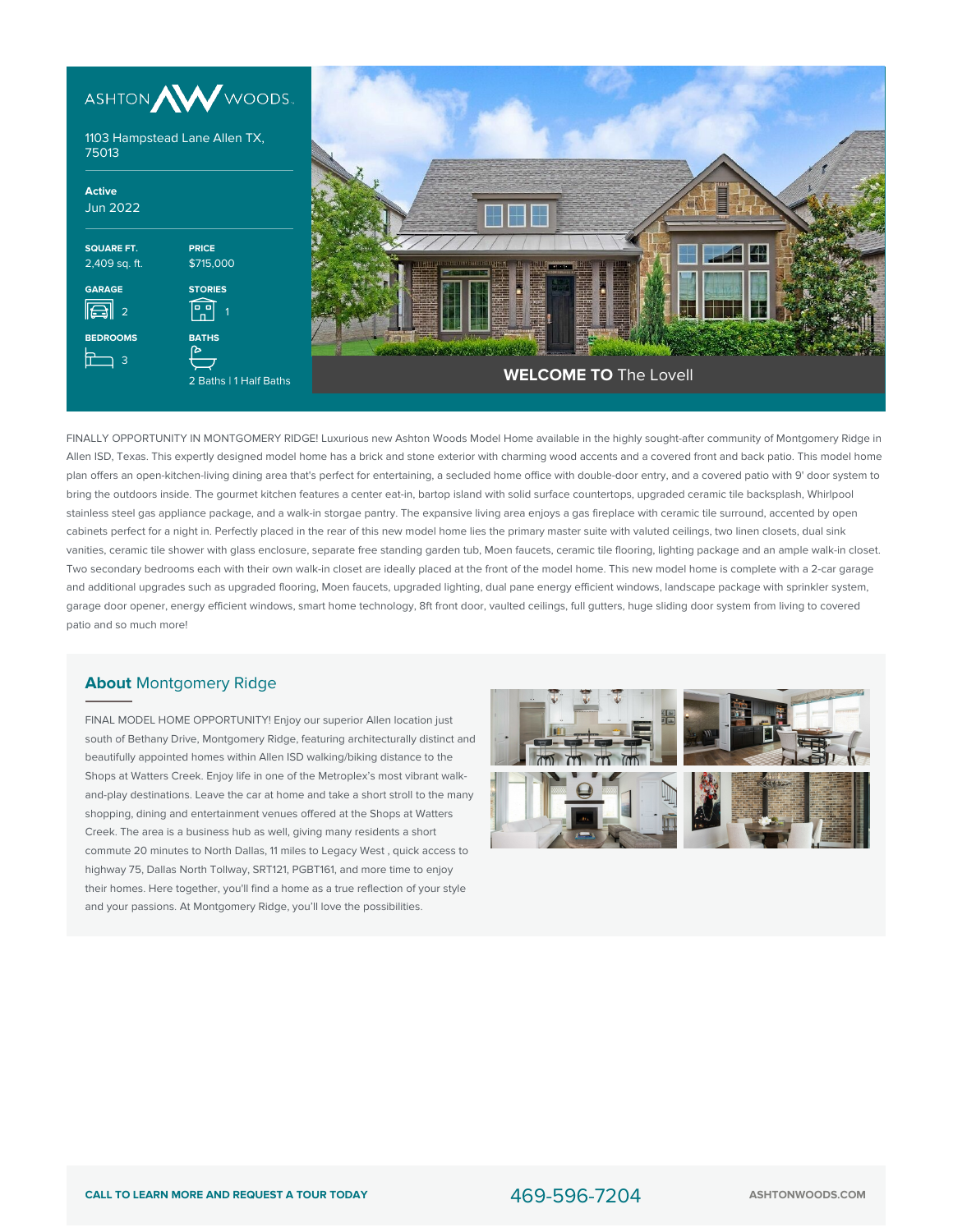



FINALLY OPPORTUNITY IN MONTGOMERY RIDGE! Luxurious new Ashton Woods Model Home available in the highly sought-after community of Montgomery Ridge in Allen ISD, Texas. This expertly designed model home has a brick and stone exterior with charming wood accents and a covered front and back patio. This model home plan offers an open-kitchen-living dining area that's perfect for entertaining, a secluded home office with double-door entry, and a covered patio with 9' door system to bring the outdoors inside. The gourmet kitchen features a center eat-in, bartop island with solid surface countertops, upgraded ceramic tile backsplash, Whirlpool stainless steel gas appliance package, and a walk-in storgae pantry. The expansive living area enjoys a gas fireplace with ceramic tile surround, accented by open cabinets perfect for a night in. Perfectly placed in the rear of this new model home lies the primary master suite with valuted ceilings, two linen closets, dual sink vanities, ceramic tile shower with glass enclosure, separate free standing garden tub, Moen faucets, ceramic tile flooring, lighting package and an ample walk-in closet. Two secondary bedrooms each with their own walk-in closet are ideally placed at the front of the model home. This new model home is complete with a 2-car garage and additional upgrades such as upgraded flooring, Moen faucets, upgraded lighting, dual pane energy efficient windows, landscape package with sprinkler system, garage door opener, energy efficient windows, smart home technology, 8ft front door, vaulted ceilings, full gutters, huge sliding door system from living to covered patio and so much more!

## **About** Montgomery Ridge

FINAL MODEL HOME OPPORTUNITY! Enjoy our superior Allen location just south of Bethany Drive, Montgomery Ridge, featuring architecturally distinct and beautifully appointed homes within Allen ISD walking/biking distance to the Shops at Watters Creek. Enjoy life in one of the Metroplex's most vibrant walkand-play destinations. Leave the car at home and take a short stroll to the many shopping, dining and entertainment venues offered at the Shops at Watters Creek. The area is a business hub as well, giving many residents a short commute 20 minutes to North Dallas, 11 miles to Legacy West , quick access to highway 75, Dallas North Tollway, SRT121, PGBT161, and more time to enjoy their homes. Here together, you'll find a home as a true reflection of your style and your passions. At Montgomery Ridge, you'll love the possibilities.